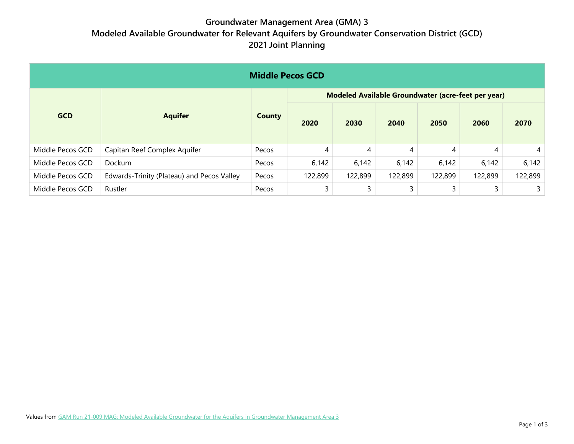## **Groundwater Management Area (GMA) 3 Modeled Available Groundwater for Relevant Aquifers by Groundwater Conservation District (GCD) 2021 Joint Planning**

| <b>Middle Pecos GCD</b> |                                            |               |                                                    |         |         |         |         |                |  |  |
|-------------------------|--------------------------------------------|---------------|----------------------------------------------------|---------|---------|---------|---------|----------------|--|--|
| <b>GCD</b>              | <b>Aquifer</b>                             | <b>County</b> | Modeled Available Groundwater (acre-feet per year) |         |         |         |         |                |  |  |
|                         |                                            |               | 2020                                               | 2030    | 2040    | 2050    | 2060    | 2070           |  |  |
| Middle Pecos GCD        | Capitan Reef Complex Aquifer               | Pecos         | 4                                                  | 4       | 4       | 4       | 4       | $\overline{4}$ |  |  |
| Middle Pecos GCD        | Dockum                                     | Pecos         | 6,142                                              | 6,142   | 6,142   | 6,142   | 6,142   | 6,142          |  |  |
| Middle Pecos GCD        | Edwards-Trinity (Plateau) and Pecos Valley | Pecos         | 122,899                                            | 122,899 | 122,899 | 122,899 | 122,899 | 122,899        |  |  |
| Middle Pecos GCD        | Rustler                                    | Pecos         | 3                                                  | 3       | 3       | 3       |         | 3              |  |  |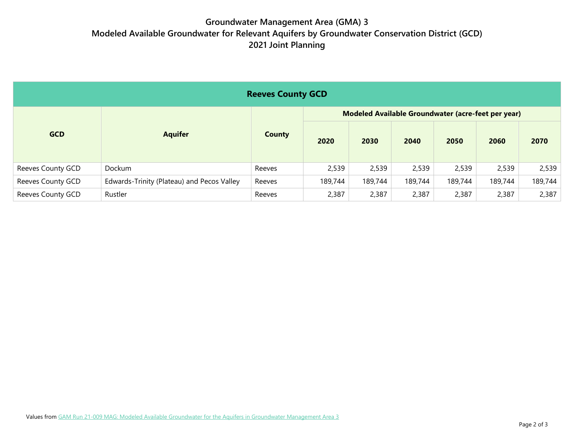## **Groundwater Management Area (GMA) 3 Modeled Available Groundwater for Relevant Aquifers by Groundwater Conservation District (GCD) 2021 Joint Planning**

| <b>Reeves County GCD</b> |                                            |               |                                                    |         |         |         |         |         |  |
|--------------------------|--------------------------------------------|---------------|----------------------------------------------------|---------|---------|---------|---------|---------|--|
| <b>GCD</b>               | <b>Aquifer</b>                             | <b>County</b> | Modeled Available Groundwater (acre-feet per year) |         |         |         |         |         |  |
|                          |                                            |               | 2020                                               | 2030    | 2040    | 2050    | 2060    | 2070    |  |
| Reeves County GCD        | Dockum                                     | Reeves        | 2,539                                              | 2,539   | 2,539   | 2,539   | 2,539   | 2,539   |  |
| Reeves County GCD        | Edwards-Trinity (Plateau) and Pecos Valley | Reeves        | 189,744                                            | 189,744 | 189,744 | 189,744 | 189,744 | 189,744 |  |
| Reeves County GCD        | Rustler                                    | Reeves        | 2,387                                              | 2,387   | 2,387   | 2,387   | 2,387   | 2,387   |  |